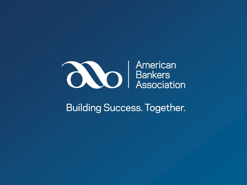

### **Building Success. Together.**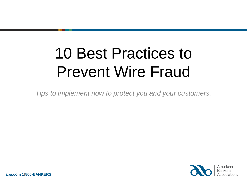# 10 Best Practices to Prevent Wire Fraud

*Tips to implement now to protect you and your customers.*

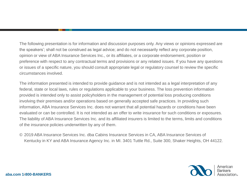The following presentation is for information and discussion purposes only. Any views or opinions expressed are the speakers'; shall not be construed as legal advice; and do not necessarily reflect any corporate position, opinion or view of ABA Insurance Services Inc., or its affiliates, or a corporate endorsement, position or preference with respect to any contractual terms and provisions or any related issues. If you have any questions or issues of a specific nature, you should consult appropriate legal or regulatory counsel to review the specific circumstances involved.

The information presented is intended to provide guidance and is not intended as a legal interpretation of any federal, state or local laws, rules or regulations applicable to your business. The loss prevention information provided is intended only to assist policyholders in the management of potential loss producing conditions involving their premises and/or operations based on generally accepted safe practices. In providing such information, ABA Insurance Services Inc. does not warrant that all potential hazards or conditions have been evaluated or can be controlled. It is not intended as an offer to write insurance for such conditions or exposures. The liability of ABA Insurance Services Inc. and its affiliated insurers is limited to the terms, limits and conditions of the insurance policies underwritten by any of them.

© 2019 ABA Insurance Services Inc. dba Cabins Insurance Services in CA, ABA Insurance Services of Kentucky in KY and ABA Insurance Agency Inc. in MI. 3401 Tuttle Rd., Suite 300, Shaker Heights, OH 44122.

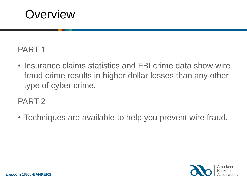## **Overview**

### PART 1

• Insurance claims statistics and FBI crime data show wire fraud crime results in higher dollar losses than any other type of cyber crime.

PART 2

• Techniques are available to help you prevent wire fraud.

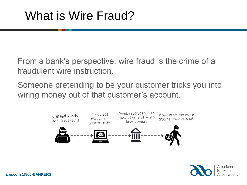From a bank's perspective, wire fraud is the crime of a fraudulent wire instruction.

Someone pretending to be your customer tricks you into wiring money out of that customer's account.



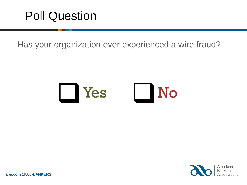## Poll Question

Has your organization ever experienced a wire fraud?



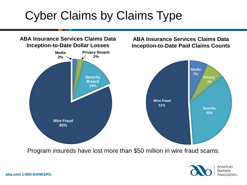## Cyber Claims by Claims Type



Program insureds have lost more than \$50 million in wire fraud scams.

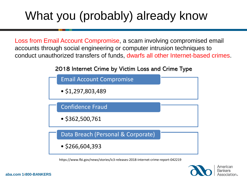# What you (probably) already know

Loss from Email Account Compromise, a scam involving compromised email accounts through social engineering or computer intrusion techniques to conduct unauthorized transfers of funds, dwarfs all other Internet-based crimes.

#### 2018 Internet Crime by Victim Loss and Crime Type



https://www.fbi.gov/news/stories/ic3-releases-2018-internet-crime-report-042219

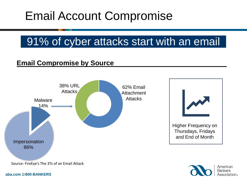## Email Account Compromise

## 91% of cyber attacks start with an email

### **Email Compromise by Source**



Source: FireEye's The 3Ts of an Email Attack



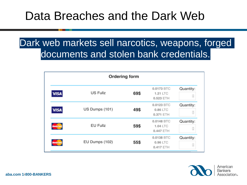## Data Breaches and the Dark Web

## Dark web markets sell narcotics, weapons, forged documents and stolen bank credentials.

|  | <b>Ordering form</b> |                 |      |                                     |                                            |
|--|----------------------|-----------------|------|-------------------------------------|--------------------------------------------|
|  | <b>VISA</b>          | <b>US Fullz</b> | 69\$ | 0.0173 BTC<br>1.21 LTC<br>0.523 ETH | Quantity:<br>$\widehat{\mathbf{G}}$        |
|  | <b>VISA</b>          | US Dumps (101)  | 49\$ | 0.0123 BTC<br>0.86 LTC<br>0.371 ETH | Quantity:<br>$\mathbf{C}$                  |
|  |                      | EU Fullz        | 59\$ | 0.0148 BTC<br>1.04 LTC<br>0.447 ETH | Quantity:<br>$\epsilon$ )                  |
|  |                      | EU Dumps (102)  | 55\$ | 0.0138 BTC<br>0.96 LTC<br>0.417 ETH | Quantity:<br>$\hat{\boldsymbol{\epsilon}}$ |

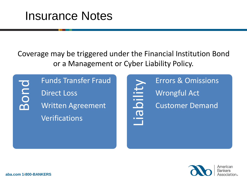## Insurance Notes

Coverage may be triggered under the Financial Institution Bond or a Management or Cyber Liability Policy.

**Bond** Funds Transfer Fraud Direct Loss Written Agreement Verifications

Liability Errors & Omissions Wrongful Act Customer Demand

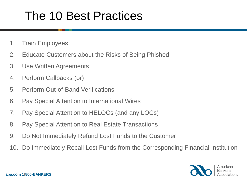## The 10 Best Practices

- 1. Train Employees
- 2. Educate Customers about the Risks of Being Phished
- 3. Use Written Agreements
- 4. Perform Callbacks (or)
- 5. Perform Out-of-Band Verifications
- 6. Pay Special Attention to International Wires
- 7. Pay Special Attention to HELOCs (and any LOCs)
- 8. Pay Special Attention to Real Estate Transactions
- 9. Do Not Immediately Refund Lost Funds to the Customer
- 10. Do Immediately Recall Lost Funds from the Corresponding Financial Institution

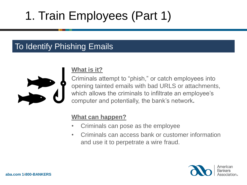# 1. Train Employees (Part 1)

### To Identify Phishing Emails



#### **What is it?**

Criminals attempt to "phish," or catch employees into opening tainted emails with bad URLS or attachments, which allows the criminals to infiltrate an employee's computer and potentially, the bank's network**.**

#### **What can happen?**

- Criminals can pose as the employee
- Criminals can access bank or customer information and use it to perpetrate a wire fraud.

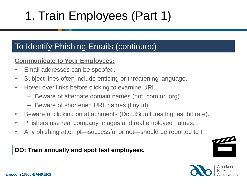# 1. Train Employees (Part 1)

### To Identify Phishing Emails (continued)

#### **Communicate to Your Employees:**

- Email addresses can be spoofed.
- Subject lines often include enticing or threatening language.
- Hover over links before clicking to examine URL.
	- Beware of alternate domain names (not .com or .org).
	- Beware of shortened URL names (tinyurl).
- Beware of clicking on attachments (DocuSign lures highest hit rate).
- Phishers use real company images and real employee names.
- Any phishing attempt—successful or not—should be reported to IT.



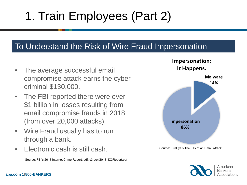# 1. Train Employees (Part 2)

### To Understand the Risk of Wire Fraud Impersonation

- The average successful email compromise attack earns the cyber criminal \$130,000.
- The FBI reported there were over \$1 billion in losses resulting from email compromise frauds in 2018 (from over 20,000 attacks).
- Wire Fraud usually has to run through a bank.
- Electronic cash is still cash.

Source: FBI's 2018 Internet Crime Report, pdf.ic3.gov/2018\_IC3Report.pdf



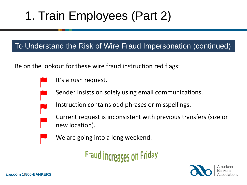# 1. Train Employees (Part 2)

### To Understand the Risk of Wire Fraud Impersonation (continued)

Be on the lookout for these wire fraud instruction red flags:

- It's a rush request.
- Sender insists on solely using email communications.
	- Instruction contains odd phrases or misspellings.
		- Current request is inconsistent with previous transfers (size or new location).
	- We are going into a long weekend.

## **Fraud increases on Friday**

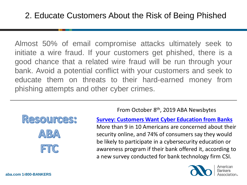Almost 50% of email compromise attacks ultimately seek to initiate a wire fraud. If your customers get phished, there is a good chance that a related wire fraud will be run through your bank. Avoid a potential conflict with your customers and seek to educate them on threats to their hard-earned money from phishing attempts and other cyber crimes.



From October 8<sup>th</sup>, 2019 ABA Newsbytes

**[Survey: Customers Want Cyber Education from Banks](http://app.response.aba.com/e/er?utm_campaign=NEWSBYTES-20191008&utm_medium=email&utm_source=Eloqua&s=1527&lid=20871&elqTrackId=a41d339b47c84d5fb3482fba8dbf6510&elq=212fd0b7c99b40899628a51241bc331a&elqaid=22239&elqat=1)** More than 9 in 10 Americans are concerned about their security online, and 74% of consumers say they would be likely to participate in a cybersecurity education or awareness program if their bank offered it, according to a new survey conducted for bank technology firm CSI.

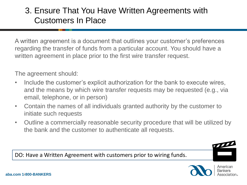### 3. Ensure That You Have Written Agreements with Customers In Place

A written agreement is a document that outlines your customer's preferences regarding the transfer of funds from a particular account. You should have a written agreement in place prior to the first wire transfer request.

The agreement should:

- Include the customer's explicit authorization for the bank to execute wires, and the means by which wire transfer requests may be requested (e.g., via email, telephone, or in person)
- Contain the names of all individuals granted authority by the customer to initiate such requests
- Outline a commercially reasonable security procedure that will be utilized by the bank and the customer to authenticate all requests.

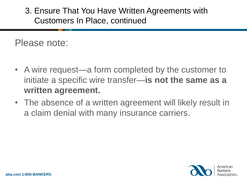3. Ensure That You Have Written Agreements with Customers In Place, continued

Please note:

- A wire request—a form completed by the customer to initiate a specific wire transfer—**is not the same as a written agreement.**
- The absence of a written agreement will likely result in a claim denial with many insurance carriers.

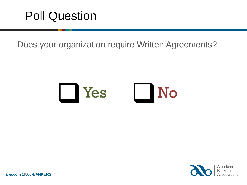## Poll Question

Does your organization require Written Agreements?



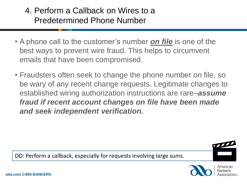### 4. Perform a Callback on Wires to a Predetermined Phone Number

- A phone call to the customer's number *on file* is one of the best ways to prevent wire fraud. This helps to circumvent emails that have been compromised.
- Fraudsters often seek to change the phone number on file, so be wary of any recent change requests. Legitimate changes to established wiring authorization instructions are rare–*assume fraud if recent account changes on file have been made and seek independent verification.*



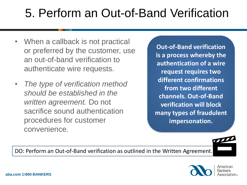## 5. Perform an Out-of-Band Verification

- When a callback is not practical or preferred by the customer, use an out-of-band verification to authenticate wire requests.
- *The type of verification method should be established in the written agreement.* Do not sacrifice sound authentication procedures for customer convenience.

**Out-of-Band verification is a process whereby the authentication of a wire request requires two different confirmations from two different channels. Out-of-Band verification will block many types of fraudulent impersonation.**

DO: Perform an Out-of-Band verification as outlined in the Written Agreement.

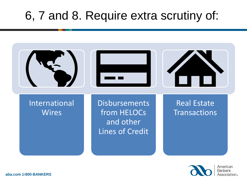## 6, 7 and 8. Require extra scrutiny of:



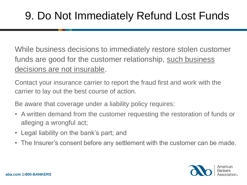While business decisions to immediately restore stolen customer funds are good for the customer relationship, such business decisions are not insurable.

Contact your insurance carrier to report the fraud first and work with the carrier to lay out the best course of action.

Be aware that coverage under a liability policy requires:

- A written demand from the customer requesting the restoration of funds or alleging a wrongful act;
- Legal liability on the bank's part; and
- The Insurer's consent before any settlement with the customer can be made.

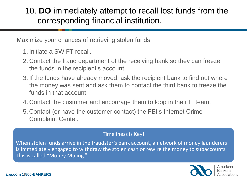### 10. **DO** immediately attempt to recall lost funds from the corresponding financial institution.

Maximize your chances of retrieving stolen funds:

- 1. Initiate a SWIFT recall.
- 2. Contact the fraud department of the receiving bank so they can freeze the funds in the recipient's account.
- 3. If the funds have already moved, ask the recipient bank to find out where the money was sent and ask them to contact the third bank to freeze the funds in that account.
- 4. Contact the customer and encourage them to loop in their IT team.
- 5. Contact (or have the customer contact) the FBI's Internet Crime Complaint Center.

#### Timeliness is Key!

When stolen funds arrive in the fraudster's bank account, a network of money launderers is immediately engaged to withdraw the stolen cash or rewire the money to subaccounts. This is called "Money Muling."

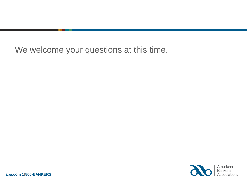We welcome your questions at this time.